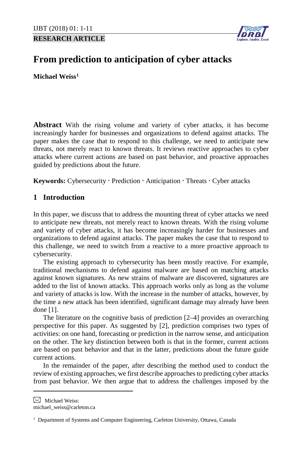**RESEARCH ARTICLE**



# **From prediction to anticipation of cyber attacks**

**Michael Weiss[1](#page-0-0)**

**Abstract** With the rising volume and variety of cyber attacks, it has become increasingly harder for businesses and organizations to defend against attacks. The paper makes the case that to respond to this challenge, we need to anticipate new threats, not merely react to known threats. It reviews reactive approaches to cyber attacks where current actions are based on past behavior, and proactive approaches guided by predictions about the future.

Keywords: Cybersecurity · Prediction · Anticipation · Threats · Cyber attacks

# **1 Introduction**

In this paper, we discuss that to address the mounting threat of cyber attacks we need to anticipate new threats, not merely react to known threats. With the rising volume and variety of cyber attacks, it has become increasingly harder for businesses and organizations to defend against attacks. The paper makes the case that to respond to this challenge, we need to switch from a reactive to a more proactive approach to cybersecurity.

The existing approach to cybersecurity has been mostly reactive. For example, traditional mechanisms to defend against malware are based on matching attacks against known signatures. As new strains of malware are discovered, signatures are added to the list of known attacks. This approach works only as long as the volume and variety of attacks is low. With the increase in the number of attacks, however, by the time a new attack has been identified, significant damage may already have been done [1].

The literature on the cognitive basis of prediction [2–4] provides an overarching perspective for this paper. As suggested by [2], prediction comprises two types of activities: on one hand, forecasting or prediction in the narrow sense, and anticipation on the other. The key distinction between both is that in the former, current actions are based on past behavior and that in the latter, predictions about the future guide current actions.

In the remainder of the paper, after describing the method used to conduct the review of existing approaches, we first describe approaches to predicting cyber attacks from past behavior. We then argue that to address the challenges imposed by the

<span id="page-0-0"></span> $\boxtimes$  Michael Weiss:

 $\overline{a}$ 

michael\_weiss@carleton.ca

<sup>&</sup>lt;sup>1</sup> Department of Systems and Computer Engineering, Carleton University, Ottawa, Canada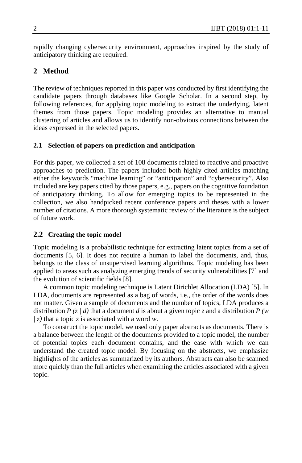rapidly changing cybersecurity environment, approaches inspired by the study of anticipatory thinking are required.

# **2 Method**

The review of techniques reported in this paper was conducted by first identifying the candidate papers through databases like Google Scholar. In a second step, by following references, for applying topic modeling to extract the underlying, latent themes from those papers. Topic modeling provides an alternative to manual clustering of articles and allows us to identify non-obvious connections between the ideas expressed in the selected papers.

## **2.1 Selection of papers on prediction and anticipation**

For this paper, we collected a set of 108 documents related to reactive and proactive approaches to prediction. The papers included both highly cited articles matching either the keywords "machine learning" or "anticipation" and "cybersecurity". Also included are key papers cited by those papers, e.g., papers on the cognitive foundation of anticipatory thinking. To allow for emerging topics to be represented in the collection, we also handpicked recent conference papers and theses with a lower number of citations. A more thorough systematic review of the literature is the subject of future work.

## **2.2 Creating the topic model**

Topic modeling is a probabilistic technique for extracting latent topics from a set of documents [5, 6]. It does not require a human to label the documents, and, thus, belongs to the class of unsupervised learning algorithms. Topic modeling has been applied to areas such as analyzing emerging trends of security vulnerabilities [7] and the evolution of scientific fields [8].

A common topic modeling technique is Latent Dirichlet Allocation (LDA) [5]. In LDA, documents are represented as a bag of words, i.e., the order of the words does not matter. Given a sample of documents and the number of topics, LDA produces a distribution *P* (*z | d*) that a document *d* is about a given topic *z* and a distribution *P* (*w | z)* that a topic *z* is associated with a word *w*.

To construct the topic model, we used only paper abstracts as documents. There is a balance between the length of the documents provided to a topic model, the number of potential topics each document contains, and the ease with which we can understand the created topic model. By focusing on the abstracts, we emphasize highlights of the articles as summarized by its authors. Abstracts can also be scanned more quickly than the full articles when examining the articles associated with a given topic.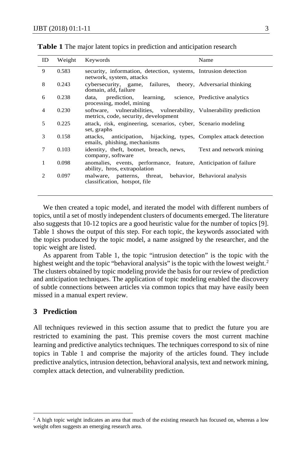| ID | Weight | Keywords                                                                                                   | Name |
|----|--------|------------------------------------------------------------------------------------------------------------|------|
| 9  | 0.583  | security, information, detection, systems, Intrusion detection<br>network, system, attacks                 |      |
| 8  | 0.243  | cybersecurity, game, failures, theory, Adversarial thinking<br>domain, afd, failure                        |      |
| 6  | 0.238  | prediction, learning, science, Predictive analytics<br>data,<br>processing, model, mining                  |      |
| 4  | 0.230  | software, vulnerabilities, vulnerability, Vulnerability prediction<br>metrics, code, security, development |      |
| 5  | 0.225  | attack, risk, engineering, scenarios, cyber, Scenario modeling<br>set, graphs                              |      |
| 3  | 0.158  | attacks, anticipation, hijacking, types, Complex attack detection<br>emails, phishing, mechanisms          |      |
| 7  | 0.103  | identity, theft, botnet, breach, news, Text and network mining<br>company, software                        |      |
| 1  | 0.098  | anomalies, events, performance, feature, Anticipation of failure<br>ability, hros, extrapolation           |      |
| 2  | 0.097  | malware, patterns, threat, behavior, Behavioral analysis<br>classification, hotspot, file                  |      |

**Table 1** The major latent topics in prediction and anticipation research

We then created a topic model, and iterated the model with different numbers of topics, until a set of mostly independent clusters of documents emerged. The literature also suggests that 10-12 topics are a good heuristic value for the number of topics [9]. Table 1 shows the output of this step. For each topic, the keywords associated with the topics produced by the topic model, a name assigned by the researcher, and the topic weight are listed.

As apparent from Table 1, the topic "intrusion detection" is the topic with the highest weight and the topic "behavioral analysis" is the topic with the lowest weight.<sup>[2](#page-2-0)</sup> The clusters obtained by topic modeling provide the basis for our review of prediction and anticipation techniques. The application of topic modeling enabled the discovery of subtle connections between articles via common topics that may have easily been missed in a manual expert review.

# **3 Prediction**

 $\overline{a}$ 

All techniques reviewed in this section assume that to predict the future you are restricted to examining the past. This premise covers the most current machine learning and predictive analytics techniques. The techniques correspond to six of nine topics in Table 1 and comprise the majority of the articles found. They include predictive analytics, intrusion detection, behavioral analysis, text and network mining, complex attack detection, and vulnerability prediction.

<span id="page-2-0"></span><sup>&</sup>lt;sup>2</sup> A high topic weight indicates an area that much of the existing research has focused on, whereas a low weight often suggests an emerging research area.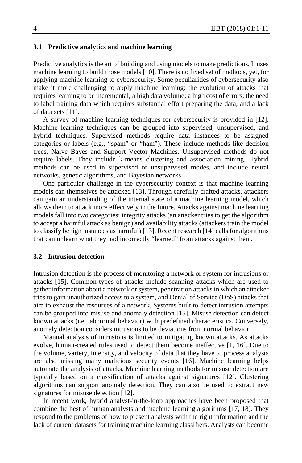#### **3.1 Predictive analytics and machine learning**

Predictive analytics is the art of building and using models to make predictions. It uses machine learning to build those models [10]. There is no fixed set of methods, yet, for applying machine learning to cybersecurity. Some peculiarities of cybersecurity also make it more challenging to apply machine learning: the evolution of attacks that requires learning to be incremental; a high data volume; a high cost of errors; the need to label training data which requires substantial effort preparing the data; and a lack of data sets [11].

A survey of machine learning techniques for cybersecurity is provided in [12]. Machine learning techniques can be grouped into supervised, unsupervised, and hybrid techniques. Supervised methods require data instances to be assigned categories or labels (e.g., "spam" or "ham"). These include methods like decision trees, Naive Bayes and Support Vector Machines. Unsupervised methods do not require labels. They include k-means clustering and association mining. Hybrid methods can be used in supervised or unsupervised modes, and include neural networks, genetic algorithms, and Bayesian networks.

One particular challenge in the cybersecurity context is that machine learning models can themselves be attacked [13]. Through carefully crafted attacks, attackers can gain an understanding of the internal state of a machine learning model, which allows them to attack more effectively in the future. Attacks against machine learning models fall into two categories: integrity attacks (an attacker tries to get the algorithm to accept a harmful attack as benign) and availability attacks (attackers train the model to classify benign instances as harmful) [13]. Recent research [14] calls for algorithms that can unlearn what they had incorrectly "learned" from attacks against them.

## **3.2 Intrusion detection**

Intrusion detection is the process of monitoring a network or system for intrusions or attacks [15]. Common types of attacks include scanning attacks which are used to gather information about a network or system, penetration attacks in which an attacker tries to gain unauthorized access to a system, and Denial of Service (DoS) attacks that aim to exhaust the resources of a network. Systems built to detect intrusion attempts can be grouped into misuse and anomaly detection [15]. Misuse detection can detect known attacks (i.e., abnormal behavior) with predefined characteristics. Conversely, anomaly detection considers intrusions to be deviations from normal behavior.

Manual analysis of intrusions is limited to mitigating known attacks. As attacks evolve, human-created rules used to detect them become ineffective [1, 16]. Due to the volume, variety, intensity, and velocity of data that they have to process analysts are also missing many malicious security events [16]. Machine learning helps automate the analysis of attacks. Machine learning methods for misuse detection are typically based on a classification of attacks against signatures [12]. Clustering algorithms can support anomaly detection. They can also be used to extract new signatures for misuse detection [12].

In recent work, hybrid analyst-in-the-loop approaches have been proposed that combine the best of human analysts and machine learning algorithms [17, 18]. They respond to the problems of how to present analysts with the right information and the lack of current datasets for training machine learning classifiers. Analysts can become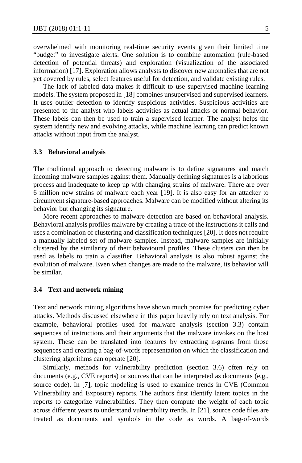overwhelmed with monitoring real-time security events given their limited time "budget" to investigate alerts. One solution is to combine automation (rule-based detection of potential threats) and exploration (visualization of the associated information) [17]. Exploration allows analysts to discover new anomalies that are not yet covered by rules, select features useful for detection, and validate existing rules.

The lack of labeled data makes it difficult to use supervised machine learning models. The system proposed in [18] combines unsupervised and supervised learners. It uses outlier detection to identify suspicious activities. Suspicious activities are presented to the analyst who labels activities as actual attacks or normal behavior. These labels can then be used to train a supervised learner. The analyst helps the system identify new and evolving attacks, while machine learning can predict known attacks without input from the analyst.

#### **3.3 Behavioral analysis**

The traditional approach to detecting malware is to define signatures and match incoming malware samples against them. Manually defining signatures is a laborious process and inadequate to keep up with changing strains of malware. There are over 6 million new strains of malware each year [19]. It is also easy for an attacker to circumvent signature-based approaches. Malware can be modified without altering its behavior but changing its signature.

More recent approaches to malware detection are based on behavioral analysis. Behavioral analysis profiles malware by creating a trace of the instructions it calls and uses a combination of clustering and classification techniques [20]. It does not require a manually labeled set of malware samples. Instead, malware samples are initially clustered by the similarity of their behavioural profiles. These clusters can then be used as labels to train a classifier. Behavioral analysis is also robust against the evolution of malware. Even when changes are made to the malware, its behavior will be similar.

#### **3.4 Text and network mining**

Text and network mining algorithms have shown much promise for predicting cyber attacks. Methods discussed elsewhere in this paper heavily rely on text analysis. For example, behavioral profiles used for malware analysis (section 3.3) contain sequences of instructions and their arguments that the malware invokes on the host system. These can be translated into features by extracting n-grams from those sequences and creating a bag-of-words representation on which the classification and clustering algorithms can operate [20].

Similarly, methods for vulnerability prediction (section 3.6) often rely on documents (e.g., CVE reports) or sources that can be interpreted as documents (e.g., source code). In [7], topic modeling is used to examine trends in CVE (Common Vulnerability and Exposure) reports. The authors first identify latent topics in the reports to categorize vulnerabilities. They then compute the weight of each topic across different years to understand vulnerability trends. In [21], source code files are treated as documents and symbols in the code as words. A bag-of-words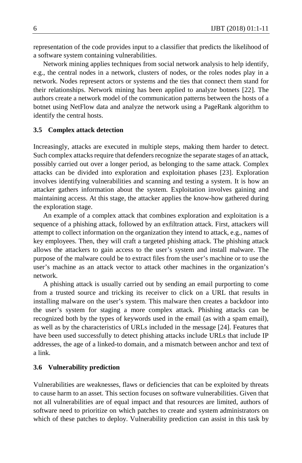representation of the code provides input to a classifier that predicts the likelihood of a software system containing vulnerabilities.

Network mining applies techniques from social network analysis to help identify, e.g., the central nodes in a network, clusters of nodes, or the roles nodes play in a network. Nodes represent actors or systems and the ties that connect them stand for their relationships. Network mining has been applied to analyze botnets [22]. The authors create a network model of the communication patterns between the hosts of a botnet using NetFlow data and analyze the network using a PageRank algorithm to identify the central hosts.

#### **3.5 Complex attack detection**

Increasingly, attacks are executed in multiple steps, making them harder to detect. Such complex attacks require that defenders recognize the separate stages of an attack, possibly carried out over a longer period, as belonging to the same attack. Complex attacks can be divided into exploration and exploitation phases [23]. Exploration involves identifying vulnerabilities and scanning and testing a system. It is how an attacker gathers information about the system. Exploitation involves gaining and maintaining access. At this stage, the attacker applies the know-how gathered during the exploration stage.

An example of a complex attack that combines exploration and exploitation is a sequence of a phishing attack, followed by an exfiltration attack. First, attackers will attempt to collect information on the organization they intend to attack, e.g., names of key employees. Then, they will craft a targeted phishing attack. The phishing attack allows the attackers to gain access to the user's system and install malware. The purpose of the malware could be to extract files from the user's machine or to use the user's machine as an attack vector to attack other machines in the organization's network.

A phishing attack is usually carried out by sending an email purporting to come from a trusted source and tricking its receiver to click on a URL that results in installing malware on the user's system. This malware then creates a backdoor into the user's system for staging a more complex attack. Phishing attacks can be recognized both by the types of keywords used in the email (as with a spam email), as well as by the characteristics of URLs included in the message [24]. Features that have been used successfully to detect phishing attacks include URLs that include IP addresses, the age of a linked-to domain, and a mismatch between anchor and text of a link.

#### **3.6 Vulnerability prediction**

Vulnerabilities are weaknesses, flaws or deficiencies that can be exploited by threats to cause harm to an asset. This section focuses on software vulnerabilities. Given that not all vulnerabilities are of equal impact and that resources are limited, authors of software need to prioritize on which patches to create and system administrators on which of these patches to deploy. Vulnerability prediction can assist in this task by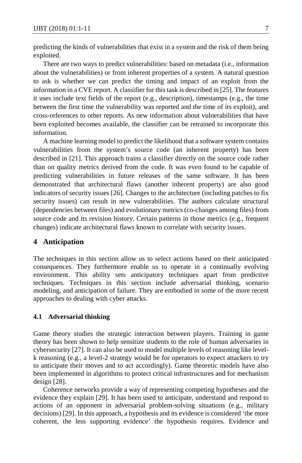predicting the kinds of vulnerabilities that exist in a system and the risk of them being exploited.

There are two ways to predict vulnerabilities: based on metadata (i.e., information about the vulnerabilities) or from inherent properties of a system. A natural question to ask is whether we can predict the timing and impact of an exploit from the information in a CVE report. A classifier for this task is described in [25]. The features it uses include text fields of the report (e.g., description), timestamps (e.g., the time between the first time the vulnerability was reported and the time of its exploit), and cross-references to other reports. As new information about vulnerabilities that have been exploited becomes available, the classifier can be retrained to incorporate this information.

A machine learning model to predict the likelihood that a software system contains vulnerabilities from the system's source code (an inherent property) has been described in [21]. This approach trains a classifier directly on the source code rather than on quality metrics derived from the code. It was even found to be capable of predicting vulnerabilities in future releases of the same software. It has been demonstrated that architectural flaws (another inherent property) are also good indicators of security issues [26]. Changes to the architecture (including patches to fix security issues) can result in new vulnerabilities. The authors calculate structural (dependencies between files) and evolutionary metrics (co-changes among files) from source code and its revision history. Certain patterns in those metrics (e.g., frequent changes) indicate architectural flaws known to correlate with security issues.

# **4 Anticipation**

The techniques in this section allow us to select actions based on their anticipated consequences. They furthermore enable us to operate in a continually evolving environment. This ability sets anticipatory techniques apart from predictive techniques. Techniques in this section include adversarial thinking, scenario modeling, and anticipation of failure. They are embodied in some of the more recent approaches to dealing with cyber attacks.

# **4.1 Adversarial thinking**

Game theory studies the strategic interaction between players. Training in game theory has been shown to help sensitize students to the role of human adversaries in cybersecurity [27]. It can also be used to model multiple levels of reasoning like levelk reasoning (e.g., a level-2 strategy would be for operators to expect attackers to try to anticipate their moves and to act accordingly). Game theoretic models have also been implemented in algorithms to protect critical infrastructures and for mechanism design [28].

Coherence networks provide a way of representing competing hypotheses and the evidence they explain [29]. It has been used to anticipate, understand and respond to actions of an opponent in adversarial problem-solving situations (e.g., military decisions) [29]. In this approach, a hypothesis and its evidence is considered 'the more coherent, the less supporting evidence' the hypothesis requires. Evidence and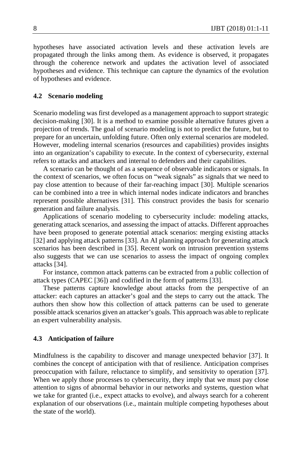hypotheses have associated activation levels and these activation levels are propagated through the links among them. As evidence is observed, it propagates through the coherence network and updates the activation level of associated hypotheses and evidence. This technique can capture the dynamics of the evolution of hypotheses and evidence.

# **4.2 Scenario modeling**

Scenario modeling was first developed as a management approach to support strategic decision-making [30]. It is a method to examine possible alternative futures given a projection of trends. The goal of scenario modeling is not to predict the future, but to prepare for an uncertain, unfolding future. Often only external scenarios are modeled. However, modeling internal scenarios (resources and capabilities) provides insights into an organization's capability to execute. In the context of cybersecurity, external refers to attacks and attackers and internal to defenders and their capabilities.

A scenario can be thought of as a sequence of observable indicators or signals. In the context of scenarios, we often focus on "weak signals" as signals that we need to pay close attention to because of their far-reaching impact [30]. Multiple scenarios can be combined into a tree in which internal nodes indicate indicators and branches represent possible alternatives [31]. This construct provides the basis for scenario generation and failure analysis.

Applications of scenario modeling to cybersecurity include: modeling attacks, generating attack scenarios, and assessing the impact of attacks. Different approaches have been proposed to generate potential attack scenarios: merging existing attacks [32] and applying attack patterns [33]. An AI planning approach for generating attack scenarios has been described in [35]. Recent work on intrusion prevention systems also suggests that we can use scenarios to assess the impact of ongoing complex attacks [34].

For instance, common attack patterns can be extracted from a public collection of attack types (CAPEC [36]) and codified in the form of patterns [33].

These patterns capture knowledge about attacks from the perspective of an attacker: each captures an attacker's goal and the steps to carry out the attack. The authors then show how this collection of attack patterns can be used to generate possible attack scenarios given an attacker's goals. This approach was able to replicate an expert vulnerability analysis.

#### **4.3 Anticipation of failure**

Mindfulness is the capability to discover and manage unexpected behavior [37]. It combines the concept of anticipation with that of resilience. Anticipation comprises preoccupation with failure, reluctance to simplify, and sensitivity to operation [37]. When we apply those processes to cybersecurity, they imply that we must pay close attention to signs of abnormal behavior in our networks and systems, question what we take for granted (i.e., expect attacks to evolve), and always search for a coherent explanation of our observations (i.e., maintain multiple competing hypotheses about the state of the world).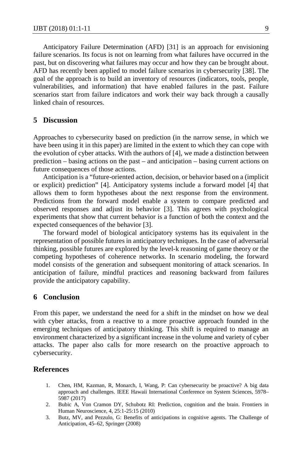Anticipatory Failure Determination (AFD) [31] is an approach for envisioning failure scenarios. Its focus is not on learning from what failures have occurred in the past, but on discovering what failures may occur and how they can be brought about. AFD has recently been applied to model failure scenarios in cybersecurity [38]. The goal of the approach is to build an inventory of resources (indicators, tools, people, vulnerabilities, and information) that have enabled failures in the past. Failure scenarios start from failure indicators and work their way back through a causally linked chain of resources.

# **5 Discussion**

Approaches to cybersecurity based on prediction (in the narrow sense, in which we have been using it in this paper) are limited in the extent to which they can cope with the evolution of cyber attacks. With the authors of [4], we made a distinction between prediction – basing actions on the past – and anticipation – basing current actions on future consequences of those actions.

Anticipation is a "future-oriented action, decision, or behavior based on a (implicit or explicit) prediction" [4]. Anticipatory systems include a forward model [4] that allows them to form hypotheses about the next response from the environment. Predictions from the forward model enable a system to compare predicted and observed responses and adjust its behavior [3]. This agrees with psychological experiments that show that current behavior is a function of both the context and the expected consequences of the behavior [3].

The forward model of biological anticipatory systems has its equivalent in the representation of possible futures in anticipatory techniques. In the case of adversarial thinking, possible futures are explored by the level-k reasoning of game theory or the competing hypotheses of coherence networks. In scenario modeling, the forward model consists of the generation and subsequent monitoring of attack scenarios. In anticipation of failure, mindful practices and reasoning backward from failures provide the anticipatory capability.

#### **6 Conclusion**

From this paper, we understand the need for a shift in the mindset on how we deal with cyber attacks, from a reactive to a more proactive approach founded in the emerging techniques of anticipatory thinking. This shift is required to manage an environment characterized by a significant increase in the volume and variety of cyber attacks. The paper also calls for more research on the proactive approach to cybersecurity.

## **References**

- 1. Chen, HM, Kazman, R, Monarch, I, Wang, P: Can cybersecurity be proactive? A big data approach and challenges. IEEE Hawaii International Conference on System Sciences, 5978– 5987 (2017)
- 2. Bubic A, Von Cramon DY, Schubotz RI: Prediction, cognition and the brain. Frontiers in Human Neuroscience, 4, 25:1-25:15 (2010)
- 3. Butz, MV, and Pezzulo, G: Benefits of anticipations in cognitive agents. The Challenge of Anticipation, 45–62, Springer (2008)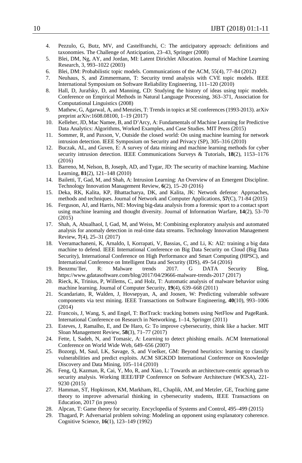- 4. Pezzulo, G, Butz, MV, and Castelfranchi, C: The anticipatory approach: definitions and taxonomies. The Challenge of Anticipation, 23–43, Springer (2008)
- 5. Blei, DM, Ng, AY, and Jordan, MI: Latent Dirichlet Allocation. Journal of Machine Learning Research, 3, 993–1022 (2003)
- 6. Blei, DM: Probabilistic topic models. Communications of the ACM, 55(4), 77–84 (2012)
- 7. Neuhaus, S, and Zimmermann, T: Security trend analysis with CVE topic models. IEEE International Symposium on Software Reliability Engineering, 111–120 (2010)
- 8. Hall, D, Jurafsky, D, and Manning, CD: Studying the history of ideas using topic models. Conference on Empirical Methods in Natural Language Processing, 363–371, Association for Computational Linguistics (2008)
- 9. Mathew, G, Agarwal, A, and Menzies, T: Trends in topics at SE conferences (1993-2013). arXiv preprint arXiv:1608.08100, 1–19 (2017)
- 10. Kelleher, JD, Mac Namee, B, and D'Arcy, A: Fundamentals of Machine Learning for Predictive Data Analytics: Algorithms, Worked Examples, and Case Studies. MIT Press (2015)
- 11. Sommer, R, and Paxson, V, Outside the closed world: On using machine learning for network intrusion detection. IEEE Symposium on Security and Privacy (SP), 305–316 (2010)
- 12. Buczak, AL, and Guven, E: A survey of data mining and machine learning methods for cyber security intrusion detection. IEEE Communications Surveys & Tutorials, **18**(2), 1153–1176 (2016)
- 13. Barreno, M, Nelson, B, Joseph, AD, and Tygar, JD: The security of machine learning. Machine Learning, **81**(2), 121–148 (2010)
- 14. Bailetti, T, Gad, M, and Shah, A: Intrusion Learning: An Overview of an Emergent Discipline. Technology Innovation Management Review, **6**(2), 15–20 (2016)
- 15. Deka, RK, Kalita, KP, Bhattacharya, DK, and Kalita, JK: Network defense: Approaches, methods and techniques. Journal of Network and Computer Applications, **57**(C), 71-84 (2015)
- 16. Ferguson, AJ, and Harris, NE: Moving big-data analysis from a forensic sport to a contact sport using machine learning and thought diversity. Journal of Information Warfare, **14**(2), 53–70 (2015)
- 17. Shah, A, Abualhaol, I, Gad, M, and Weiss, M: Combining exploratory analysis and automated analysis for anomaly detection in real-time data streams. Technology Innovation Management Review, **7**(4), 25–31 (2017)
- 18. Veeramachaneni, K, Arnaldo, I, Korrapati, V, Bassias, C, and Li, K: AI2: training a big data machine to defend. IEEE International Conference on Big Data Security on Cloud (Big Data Security), International Conference on High Performance and Smart Computing (HPSC), and International Conference on Intelligent Data and Security (IDS), 49–54 (2016)
- 19. Benzmu¨ller, R: Malware trends 2017. G DATA Security Blog, https://www.gdatasoftware.com/blog/2017/04/29666-malware-trends-2017 (2017)
- 20. Rieck, K, Trinius, P, Willems, C, and Holz, T: Automatic analysis of malware behavior using machine learning. Journal of Computer Security, **19**(4), 639–668 (2011)
- 21. Scandariato, R, Walden, J, Hovsepyan, A, and Joosen, W: Predicting vulnerable software components via text mining. IEEE Transactions on Software Engineering, **40**(10), 993–1006 (2014)
- 22. Francois, J, Wang, S, and Engel, T: BotTrack: tracking botnets using NetFlow and PageRank. International Conference on Research in Networking, 1–14, Springer (2011)
- 23. Esteves, J, Ramalho, E, and De Haro, G: To improve cybersecurity, think like a hacker. MIT Sloan Management Review, **58**(3), 71–77 (2017)
- 24. Fette, I, Sadeh, N, and Tomasic, A: Learning to detect phishing emails. ACM International Conference on World Wide Web, 649–656 (2007)
- 25. Bozorgi, M, Saul, LK, Savage, S, and Voelker, GM: Beyond heuristics: learning to classify vulnerabilities and predict exploits. ACM SIGKDD International Conference on Knowledge Discovery and Data Mining, 105–114 (2010)
- 26. Feng, Q, Kazman, R, Cai, Y, Mo, R, and Xiao, L: Towards an architecture-centric approach to security analysis. Working IEEE/IFIP Conference on Software Architecture (WICSA), 221- 9230 (2015)
- 27. Hamman, ST, Hopkinson, KM, Markham, RL, Chaplik, AM, and Metzler, GE, Teaching game theory to improve adversarial thinking in cybersecurity students, IEEE Transactions on Education, 2017 (in press)
- 28. Alpcan, T: Game theory for security. Encyclopedia of Systems and Control, 495–499 (2015)
- 29. Thagard, P: Adversarial problem solving: Modeling an opponent using explanatory coherence. Cognitive Science, **16**(1), 123–149 (1992)